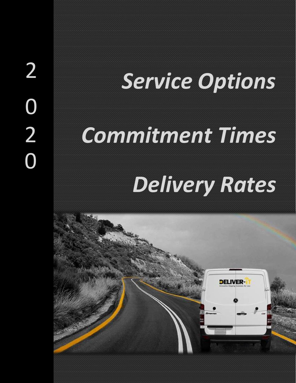# <sup>2</sup> *Service Options*

## 2 *Commitment Times*

## *Delivery Rates*

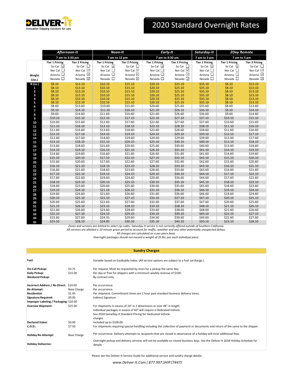

### 2020 Standard Overnight Rates

|                         | Afternoon-It          |                       | Noon-It                                                                                                                          |                       | <b>Early-It</b>       |                            | Saturday-It           | <b>2Day Remote</b>    |                       |
|-------------------------|-----------------------|-----------------------|----------------------------------------------------------------------------------------------------------------------------------|-----------------------|-----------------------|----------------------------|-----------------------|-----------------------|-----------------------|
|                         | 7 am to 3:30 pm       |                       | 7 am to 12 pm                                                                                                                    |                       | 7 am to 9:30 am       |                            | 7 am to 2 pm          | 7 am to 5 pm          |                       |
|                         | <b>Tier 1 Pricing</b> | <b>Tier 2 Pricing</b> | <b>Tier 1 Pricing</b>                                                                                                            | <b>Tier 2 Pricing</b> | <b>Tier 1 Pricing</b> | <b>Tier 2 Pricing</b>      | <b>Tier 1 Pricing</b> | <b>Tier 1 Pricing</b> | <b>Tier 2 Pricing</b> |
|                         | So Cal $\boxdot$      | So Cal $\Box$         | So Cal $\boxdot$                                                                                                                 | So Cal $\Box$         | So Cal $\boxdot$      | So Cal $\Box$              | So Cal $\Box$         | So Cal $\Box$         | So Cal $\Box$         |
|                         | Nor Cal $\Box$        | Nor Cal $\boxdot$     | Nor Cal $\Box$                                                                                                                   | Nor Cal ⊡             | Nor Cal $\Box$        | Nor Cal $\boxdot$          | Nor Cal $\Box$        | Nor Cal $\Box$        | Nor Cal $\boxdot$     |
| Weight                  | Arizona $\Box$        | Arizona $\boxdot$     | Arizona $\Box$                                                                                                                   | Arizona ⊡             | Arizona $\Box$        | Arizona ⊡                  | Arizona $\Box$        | Arizona $\Box$        | Arizona ☑             |
| (Lbs.)                  | Nevada $\square$      | Nevada $\Box$         | Nevada $\Box$                                                                                                                    | Nevada ☑              | Nevada $\square$      | Nevada $\boxed{\triangle}$ | Nevada $\Box$         | Nevada $\square$      | Nevada $\boxdot$      |
| 8(oz.)                  | \$8.10                | \$13.10               | \$10.10                                                                                                                          | \$15.10               | \$20.10               | \$25.10                    | \$35.10               | \$8.10                | \$13.10               |
| 1                       | \$8.10                | \$13.10               | \$10.10                                                                                                                          | \$15.10               | \$20.10               | \$25.10                    | \$35.10               | \$8.10                | \$13.10               |
| $\overline{\mathbf{z}}$ | \$8.10                | \$13.10               | \$10.10                                                                                                                          | \$15.10               | \$20.10               | \$25.10                    | \$35.10               | \$8.10                | \$13.10               |
| 3                       | \$8.10                | \$13.10               | \$10.10                                                                                                                          | \$15.10               | \$20.10               | \$25.10                    | \$35.10               | \$8.10                | \$13.10               |
| 4                       | \$8.10                | \$13.10               | \$10.10                                                                                                                          | \$15.10               | \$20.10               | \$25.10                    | \$35.10               | \$8.10                | \$13.10               |
| 5                       | \$8.10                | \$13.10               | \$10.10                                                                                                                          | \$15.10               | \$20.10               | \$25.10                    | \$35.10               | \$8.10                | \$13.10               |
| 6                       | \$8.60                | \$13.60               | \$10.60                                                                                                                          | \$15.60               | \$20.60               | \$25.60                    | \$35.60               | \$8.60                | \$13.60               |
| $\overline{7}$          | \$9.10                | \$14.10               | \$11.10                                                                                                                          | \$16.10               | \$21.10               | \$26.10                    | \$36.10               | \$9.10                | \$14.10               |
| 8                       | \$9.60                | \$14.60               | \$11.60                                                                                                                          | \$16.60               | \$21.60               | \$26.60                    | \$36.60               | \$9.60                | \$14.60               |
| 9                       | \$10.10               | \$15.10               | \$12.10                                                                                                                          | \$17.10               | \$22.10               | \$27.10                    | \$37.10               | \$10.10               | \$15.10               |
| 10                      | \$10.60               | \$15.60               | \$12.60                                                                                                                          | \$17.60               | \$22.60               | \$27.60                    | \$37.60               | \$10.60               | \$15.60               |
| 11                      | \$11.10               | \$16.10               | \$13.10                                                                                                                          | \$18.10               | \$23.10               | \$28.10                    | \$38.10               | \$11.10               | \$16.10               |
| 12                      | \$11.60               | \$16.60               | \$13.60                                                                                                                          | \$18.60               | \$23.60               | \$28.60                    | \$38.60               | \$11.60               | \$16.60               |
| 13                      | \$12.10               | \$17.10               | \$14.10                                                                                                                          | \$19.10               | \$24.10               | \$29.10                    | \$39.10               | \$12.10               | \$17.10               |
| 14                      | \$12.60               | \$17.60               | \$14.60                                                                                                                          | \$19.60               | \$24.60               | \$29.60                    | \$39.60               | \$12.60               | \$17.60               |
| 15                      | \$13.10               | \$18.10               | \$15.10                                                                                                                          | \$20.10               | \$25.10               | \$30.10                    | \$40.10               | \$13.10               | \$18.10               |
| 16                      | \$13.60               | \$18.60               | \$15.60                                                                                                                          | \$20.60               | \$25.60               | \$30.60                    | \$40.60               | \$13.60               | \$18.60               |
| 17                      | \$14.10               | \$19.10               | \$16.10                                                                                                                          | \$21.10               | \$26.10               | \$31.10                    | \$41.10               | \$14.10               | \$19.10               |
| 18                      | \$14.60               | \$19.60               | \$16.60                                                                                                                          | \$21.60               | \$26.60               | \$31.60                    | \$41.60               | \$14.60               | \$19.60               |
| 19                      | \$15.10               | \$20.10               | \$17.10                                                                                                                          | \$22.10               | \$27.10               | \$32.10                    | \$42.10               | \$15.10               | \$20.10               |
| 20                      | \$15.60               | \$20.60               | \$17.60                                                                                                                          | \$22.60               | \$27.60               | \$32.60                    | \$42.60               | \$15.60               | \$20.60               |
| 21                      | \$16.10               | \$21.10               | \$18.10                                                                                                                          | \$23.10               | \$28.10               | \$33.10                    | \$43.10               | \$16.10               | \$21.10               |
| 22                      | \$16.60               | \$21.60               | \$18.60                                                                                                                          | \$23.60               | \$28.60               | \$33.60                    | \$43.60               | \$16.60               | \$21.60               |
| 23                      | \$17.10               | \$22.10               | \$19.10                                                                                                                          | \$24.10               | \$29.10               | \$34.10                    | \$44.10               | \$17.10               | \$22.10               |
| 24                      | \$17.60               | \$22.60               | \$19.60                                                                                                                          | \$24.60               | \$29.60               | \$34.60                    | \$44.60               | \$17.60               | \$22.60               |
| 25                      | \$18.10               | \$23.10               | \$20.10                                                                                                                          | \$25.10               | \$30.10               | \$35.10                    | \$45.10               | \$18.10               | \$23.10               |
| 26                      | \$18.60               | \$23.60               | \$20.60                                                                                                                          | \$25.60               | \$30.60               | \$35.60                    | \$45.60               | \$18.60               | \$23.60               |
| 27                      | \$19.10               | \$24.10               | \$21.10                                                                                                                          | \$26.10               | \$31.10               | \$36.10                    | \$46.10               | \$19.10               | \$24.10               |
| 28                      | \$19.60               | \$24.60               | \$21.60                                                                                                                          | \$26.60               | \$31.60               | \$36.60                    | \$46.60               | \$19.60               | \$24.60               |
| 29                      | \$20.10               | \$25.10               | \$22.10                                                                                                                          | \$27.10               | \$32.10               | \$37.10                    | \$47.10               | \$20.10               | \$25.10               |
| 30                      | \$20.60               | \$25.60               | \$22.60                                                                                                                          | \$27.60               | \$32.60               | \$37.60                    | \$47.60               | \$20.60               | \$25.60               |
| 31                      | \$21.10               | \$26.10               | \$23.10                                                                                                                          | \$28.10               | \$33.10               | \$38.10                    | \$48.10               | \$21.10               | \$26.10               |
| 32                      | \$21.60               | \$26.60               | \$23.60                                                                                                                          | \$28.60               | \$33.60               | \$38.60                    | \$48.60               | \$21.60               | \$26.60               |
| 33                      | \$22.10               | \$27.10               | \$24.10                                                                                                                          | \$29.10               | \$34.10               | \$39.10                    | \$49.10               | \$22.10               | \$27.10               |
| 34                      | \$22.60               | \$27.60               | \$24.35                                                                                                                          | \$29.60               | \$34.60               | \$39.60                    | \$49.60               | \$22.60               | \$27.60               |
| 35                      | \$23.10               | \$28.10               | \$24.85                                                                                                                          | \$30.10               | \$35.10               | \$40.10                    | \$50.10               | \$23.10               | \$28.10               |
|                         |                       |                       | Zones and services are limited to select zip codes. Saturday-It service is not currently offered outside of Southern California. |                       |                       |                            |                       |                       |                       |

*All services are allotted a 10 minute grace period to account for traffic, weather and any other potentially unexpected delays.*

*All charges are calculated on a per piece basis.*

*Overnight packages should not exceed a weight of 35 lbs. per each individual piece.*

**Sundry Charges**

|                                        |                    | <b>SUITULY CHALGES</b>                                                                                                                        |
|----------------------------------------|--------------------|-----------------------------------------------------------------------------------------------------------------------------------------------|
| Fuel:                                  |                    | Variable based on GasBuddy Index. (All service options are subject to a fuel surcharge.)                                                      |
| On-Call Pickup:                        | \$3.75             | Per request. Must be requested by noon for a pickup the same day.                                                                             |
| Daily Pickup:                          | \$15.00            | Per day or free for shippers with a minimum weekly revenue of \$100.                                                                          |
| Weekend Pickup:                        |                    | By contract only.                                                                                                                             |
| Incorrect Address / Re-Direct: \$10.00 |                    | Per occurrence.                                                                                                                               |
| Re-Attempt:                            | <b>Base Charge</b> | Per occurrence.                                                                                                                               |
| <b>Residential:</b>                    | \$1.95             | Per shipment. Commitment times are 1 hour past standard business delivery times.                                                              |
| Signature Required:                    | \$0.00             | <b>Indirect Signature</b>                                                                                                                     |
| Improper Labeling / Packaging: \$10.00 |                    |                                                                                                                                               |
| <b>Oversize Shipment:</b>              | \$25.00            | For shipments in excess of 24" in 2 dimensions or over 48" in length.                                                                         |
|                                        |                    | Individual packages in excess of 60" will require a Dedicated Vehicle.                                                                        |
|                                        |                    | See 2018 SameDay-It Standard Pricing for Dedicated Vehicle                                                                                    |
|                                        |                    | charges.                                                                                                                                      |
| <b>Declared Value:</b>                 | \$0.00             | Included up to \$100.00.                                                                                                                      |
| C.O.D.:                                | \$7.50             | For shipments requiring special handling including the collection of payment or documents and return of the same to the shipper.              |
| Holiday Re-Attempt:                    | <b>Base Charge</b> | Per occurrence. Delivery attempts to recipients that are closed in observance of a holiday will incur additional fees.                        |
| <b>Holiday Deliveries:</b>             |                    | Overnight pickup and delivery services will not be available on closed business days. See the Deliver-It 2018 Holiday Schedule for<br>details |

Please see the Deliver-It Service Guide for additional service and sundry charge details.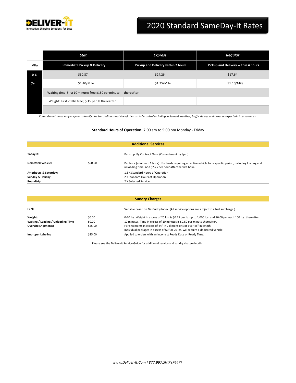

## 2020 Standard SameDay-It Rates

|       | Stat                                                  | <b>Express</b>                     | Regular                            |
|-------|-------------------------------------------------------|------------------------------------|------------------------------------|
| Miles | Immediate Pickup & Delivery                           | Pickup and Delivery within 2 hours | Pickup and Delivery within 4 hours |
| 0-6   | \$30.87                                               | \$24.26                            | \$17.64                            |
| $7+$  | \$1.40/Mile                                           | \$1.25/Mile                        | \$1.10/Mile                        |
|       | Waiting time: First 10 minutes free; \$.50 per minute | thereafter                         |                                    |
|       | Weight: First 20 lbs free; \$.15 per lb thereafter    |                                    |                                    |
|       |                                                       |                                    |                                    |

*Commitment times may vary occasionally due to conditions outside of the carrier's control including inclement weather, traffic delays and other unexpected circumstances.*

#### **Standard Hours of Operation:** 7:00 am to 5:00 pm Monday - Friday

| <b>Additional Services</b> |         |                                                                                                                                                                            |  |  |
|----------------------------|---------|----------------------------------------------------------------------------------------------------------------------------------------------------------------------------|--|--|
| Today-It:                  |         | Per stop. By Contract Only. (Commitment by 8pm)                                                                                                                            |  |  |
| <b>Dedicated Vehicle:</b>  | \$50.00 | Per hour (minimum 1 hour). For loads requiring an entire vehicle for a specific period, including loading and<br>unloading time. Add \$2.25 per hour after the first hour. |  |  |
| Afterhours & Saturday:     |         | 1.5 X Standard Hours of Operation                                                                                                                                          |  |  |
| Sunday & Holiday:          |         | 2 X Standard Hours of Operation                                                                                                                                            |  |  |
| Roundtrip:                 |         | 2 X Selected Service                                                                                                                                                       |  |  |

| <b>Sundry Charges</b>                         |                  |                                                                                                                                                                                                |  |  |
|-----------------------------------------------|------------------|------------------------------------------------------------------------------------------------------------------------------------------------------------------------------------------------|--|--|
| Fuel:                                         |                  | Variable based on GasBuddy Index. (All service options are subject to a fuel surcharge.)                                                                                                       |  |  |
| Weight:<br>Waiting / Loading / Unloading Time | \$0.00<br>\$0.00 | 0-20 lbs. Weight in excess of 20 lbs. is \$0.15 per lb. up to 1,000 lbs. and \$6.00 per each 100 lbs. thereafter.<br>10 minutes. Time in excess of 10 minutes is \$0.50 per minute thereafter. |  |  |
| <b>Oversize Shipments:</b>                    | \$25.00          | For shipments in excess of 24" in 2 dimensions or over 48" in length.<br>Individual packages in excess of 60" or 70 lbs. will require a dedicated vehicle.                                     |  |  |
| <b>Improper Labeling</b>                      | \$25.00          | Applied to orders with an incorrect Ready Date or Ready Time.                                                                                                                                  |  |  |

Please see the Deliver-It Service Guide for additional service and sundry charge details.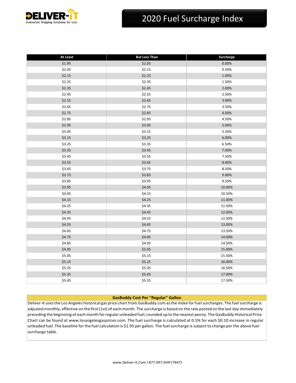

## 2020 Fuel Surcharge Index

| At Least | <b>But Less Than</b> | Surcharge |
|----------|----------------------|-----------|
| \$1.95   | \$2.05               | 0.00%     |
| \$2.05   | \$2.15               | 0.50%     |
| \$2.15   | \$2.25               | 1.00%     |
| \$2.25   | \$2.35               | 1.50%     |
| \$2.35   | \$2.45               | 2.00%     |
| \$2.45   | \$2.55               | 2.50%     |
| \$2.55   | \$2.65               | 3.00%     |
| \$2.65   | \$2.75               | 3.50%     |
| \$2.75   | \$2.85               | 4.00%     |
| \$2.85   | \$2.95               | 4.50%     |
| \$2.95   | \$3.05               | 5.00%     |
| \$3.05   | \$3.15               | 5.50%     |
| \$3.15   | \$3.25               | 6.00%     |
| \$3.25   | \$3.35               | 6.50%     |
| \$3.35   | \$3.45               | 7.00%     |
| \$3.45   | \$3.55               | 7.50%     |
| \$3.55   | \$3.65               | 8.00%     |
| \$3.65   | \$3.75               | 8.50%     |
| \$3.75   | \$3.85               | 9.00%     |
| \$3.85   | \$3.95               | 9.50%     |
| \$3.95   | \$4.05               | 10.00%    |
| \$4.05   | \$4.15               | 10.50%    |
| \$4.15   | \$4.25               | 11.00%    |
| \$4.25   | \$4.35               | 11.50%    |
| \$4.35   | \$4.45               | 12.00%    |
| \$4.45   | \$4.55               | 12.50%    |
| \$4.55   | \$4.65               | 13.00%    |
| \$4.65   | \$4.75               | 13.50%    |
| \$4.75   | \$4.85               | 14.00%    |
| \$4.85   | \$4.95               | 14.50%    |
| \$4.95   | \$5.05               | 15.00%    |
| \$5.05   | \$5.15               | 15.50%    |
| \$5.15   | \$5.25               | 16.00%    |
| \$5.25   | \$5.35               | 16.50%    |
| \$5.35   | \$5.45               | 17.00%    |
| \$5.45   | \$5.55               | 17.50%    |

#### **GasBuddy Cost Per "Regular" Gallon**

Deliver-It usesthe Los Angeles historical gas price chart from GasBuddy.com asthe index forfuelsurcharges. The fuelsurcharge is adjusted monthly, effective on the first (1st) of each month. The surcharge is based on the rate posted on the last day immediately preceding the beginning of each month for regular unleaded fuel, rounded up to the nearest penny. The GasBuddy Historical Price Chart can be found a[t www.losangelesgasprices.com. T](http://www.losangelesgasprices.com/)he fuel surcharge is calculated at 0.5% for each \$0.10 increase in regular unleaded fuel. The baseline for the fuel calculation is \$1.95 per gallon. The fuelsurcharge issubject to change per the above fuel surcharge table.